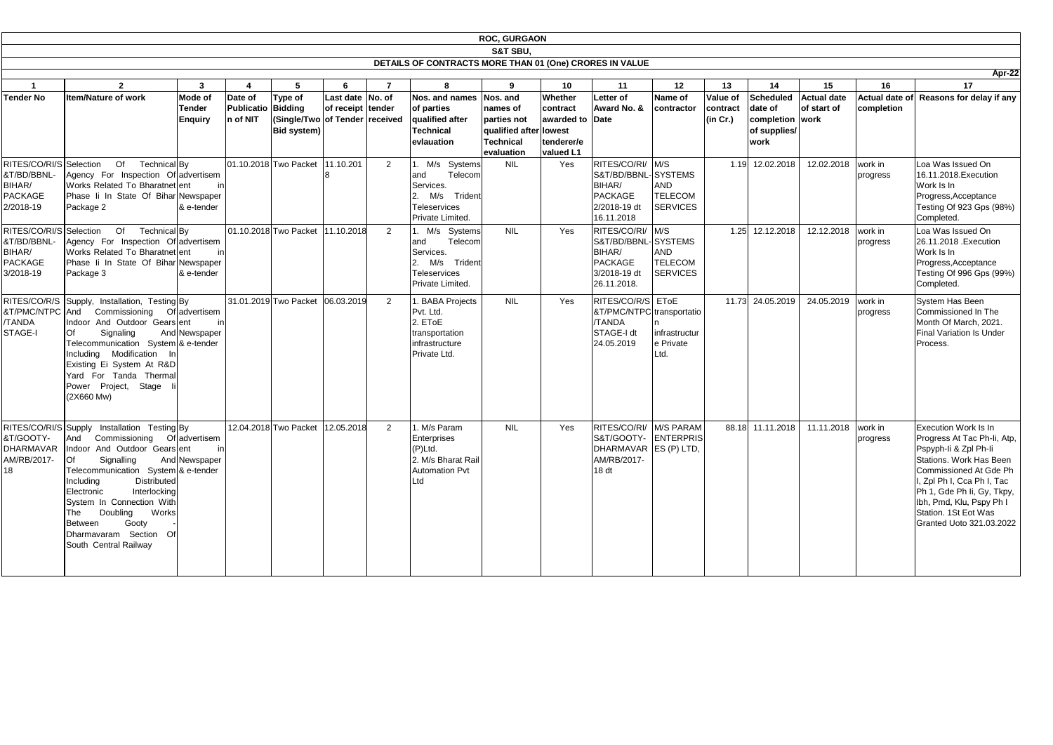|                                                                                 |                                                                                                                                                                                                                                                                                                                                                                                             |                                      |                                                  |                                                                |                                       |                |                                                                                                                | <b>ROC, GURGAON</b>                                                                      |                                                                                    |                                                                                                   |                                                                   |                                  |                                                                        |                                     |                                     |                                                                                                                                                                                                                                                                           |
|---------------------------------------------------------------------------------|---------------------------------------------------------------------------------------------------------------------------------------------------------------------------------------------------------------------------------------------------------------------------------------------------------------------------------------------------------------------------------------------|--------------------------------------|--------------------------------------------------|----------------------------------------------------------------|---------------------------------------|----------------|----------------------------------------------------------------------------------------------------------------|------------------------------------------------------------------------------------------|------------------------------------------------------------------------------------|---------------------------------------------------------------------------------------------------|-------------------------------------------------------------------|----------------------------------|------------------------------------------------------------------------|-------------------------------------|-------------------------------------|---------------------------------------------------------------------------------------------------------------------------------------------------------------------------------------------------------------------------------------------------------------------------|
|                                                                                 |                                                                                                                                                                                                                                                                                                                                                                                             |                                      |                                                  |                                                                |                                       |                |                                                                                                                | <b>S&amp;T SBU.</b>                                                                      |                                                                                    |                                                                                                   |                                                                   |                                  |                                                                        |                                     |                                     |                                                                                                                                                                                                                                                                           |
|                                                                                 |                                                                                                                                                                                                                                                                                                                                                                                             |                                      |                                                  |                                                                |                                       |                | DETAILS OF CONTRACTS MORE THAN 01 (One) CRORES IN VALUE                                                        |                                                                                          |                                                                                    |                                                                                                   |                                                                   |                                  |                                                                        |                                     |                                     | Apr                                                                                                                                                                                                                                                                       |
|                                                                                 | $\mathbf{2}$                                                                                                                                                                                                                                                                                                                                                                                | $\mathbf{3}$                         | $\overline{\mathbf{4}}$                          | 5                                                              | 6                                     |                | 8                                                                                                              | 9                                                                                        | 10                                                                                 | 11                                                                                                | 12                                                                | 13                               | 14                                                                     | 15                                  | 16                                  | 17                                                                                                                                                                                                                                                                        |
| <b>Tender No</b>                                                                | <b>Item/Nature of work</b>                                                                                                                                                                                                                                                                                                                                                                  | Mode of<br>Tender<br><b>Enquiry</b>  | Date of<br><b>Publicatio Bidding</b><br>n of NIT | Type of<br><b>Single/Two of Tender received</b><br>Bid system) | Last date No. of<br>of receipt tender |                | Nos. and names<br>of parties<br>qualified after<br>Technical<br>evlauation                                     | Nos. and<br>names of<br>parties not<br>qualified after<br><b>Technical</b><br>evaluation | <b>Whether</b><br>contract<br>awarded to Date<br>lowest<br>tenderer/e<br>valued L1 | Letter of<br>Award No. &                                                                          | Name of<br>contractor                                             | Value of<br>contract<br>(in Cr.) | <b>Scheduled</b><br>date of<br>completion work<br>of supplies/<br>work | <b>Actual date</b><br>of start of   | <b>Actual date of</b><br>completion | Reasons for delay if a                                                                                                                                                                                                                                                    |
| RITES/CO/RI/S Selection<br>&T/BD/BBNL-<br>BIHAR/<br><b>PACKAGE</b><br>2/2018-19 | Of<br>Technical By<br>Agency For Inspection Of advertisem<br>Works Related To Bharatnet ent<br>Phase Ii In State Of Bihar Newspaper<br>Package 2                                                                                                                                                                                                                                            | in<br>& e-tender                     |                                                  | 01.10.2018 Two Packet 11.10.201                                |                                       | $\overline{2}$ | M/s Systems<br>Telecom<br>and<br>Services.<br>M/s<br>Trident<br>I2.<br>Teleservices<br>Private Limited.        | <b>NIL</b>                                                                               | Yes                                                                                | RITES/CO/RI/ M/S<br>S&T/BD/BBNL-SYSTEMS<br>BIHAR/<br><b>PACKAGE</b><br>2/2018-19 dt<br>16.11.2018 | <b>AND</b><br><b>TELECOM</b><br><b>SERVICES</b>                   | 1.19                             | 12.02.2018                                                             | 12.02.2018                          | work in<br>progress                 | Loa Was Issued On<br>16.11.2018. Execution<br>Work Is In<br>Progress, Acceptance<br>Testing Of 923 Gps (989<br>Completed.                                                                                                                                                 |
| RITES/CO/RI/S Selection<br>&T/BD/BBNL-<br>BIHAR/<br><b>PACKAGE</b><br>3/2018-19 | Of<br>Technical By<br>Agency For Inspection Of advertisem<br>Works Related To Bharatnet ent<br>Phase Ii In State Of Bihar Newspaper<br>Package 3                                                                                                                                                                                                                                            | ir<br>& e-tender                     |                                                  | 01.10.2018 Two Packet 11.10.2018                               |                                       | 2              | 1. M/s<br>Systems<br>Telecom<br>land<br>Services.<br>M/s<br>Trident<br>12.<br>Teleservices<br>Private Limited. | <b>NIL</b>                                                                               | Yes                                                                                | RITES/CO/RI/<br>S&T/BD/BBNL-<br>BIHAR/<br><b>PACKAGE</b><br>3/2018-19 dt<br>26.11.2018.           | M/S<br>SYSTEMS<br><b>AND</b><br><b>TELECOM</b><br><b>SERVICES</b> | 1.25                             | 12.12.2018                                                             | 12.12.2018                          | work in<br>progress                 | Loa Was Issued On<br>26.11.2018 . Execution<br>Work Is In<br>Progress, Acceptance<br>Testing Of 996 Gps (999<br>Completed.                                                                                                                                                |
| RITES/CO/R/S<br>&T/PMC/NTPC And<br><b>/TANDA</b><br>STAGE-I                     | Supply, Installation, Testing By<br>Commissioning<br>Indoor And Outdoor Gears ent<br>Of<br>Signaling<br>Telecommunication System & e-tender<br>Including Modification In<br>Existing Ei System At R&D<br>Yard For Tanda Thermal<br>Power Project, Stage<br>(2X660 Mw)                                                                                                                       | Of advertisem<br>ir<br>And Newspaper |                                                  | 31.01.2019 Two Packet 06.03.2019                               |                                       | $\overline{2}$ | . BABA Projects<br>Pvt. Ltd.<br>2. ET <sub>OE</sub><br>transportation<br>infrastructure<br>Private Ltd.        | <b>NIL</b>                                                                               | Yes                                                                                | RITES/CO/R/S<br>&T/PMC/NTPC transportatio<br>/TANDA<br>STAGE-I dt<br>24.05.2019                   | <b>EToE</b><br>infrastructur<br>e Private<br>Ltd.                 | 11.73                            | 24.05.2019                                                             | 24.05.2019                          | work in<br>progress                 | <b>System Has Been</b><br>Commissioned In The<br>Month Of March, 2021.<br><b>Final Variation Is Under</b><br>Process.                                                                                                                                                     |
| &T/GOOTY-<br>AM/RB/2017-<br>18                                                  | RITES/CO/RI/S Supply Installation Testing By<br>And Commissioning Of advertisem<br>DHARMAVAR Indoor And Outdoor Gears ent<br><b>I</b> Of<br>Signalling<br>Telecommunication System & e-tender<br><b>Distributed</b><br>Including<br>Electronic<br>Interlocking<br>System In Connection With<br>Doubling Works<br>The<br>Gooty<br>Between<br>Dharmavaram Section Of<br>South Central Railway | And Newspaper                        |                                                  | 12.04.2018 Two Packet 12.05.2018                               |                                       |                | 1. M/s Param<br>Enterprises<br>$(P)$ Ltd.<br>2. M/s Bharat Rail<br><b>Automation Pvt</b><br>Ltd                | <b>NIL</b>                                                                               | Yes                                                                                | RITES/CO/RI/ M/S PARAM<br>S&T/GOOTY- ENTERPRIS<br>DHARMAVAR ES (P) LTD,<br>AM/RB/2017-<br>18 dt   |                                                                   |                                  |                                                                        | 88.18 11.11.2018 11.11.2018 work in | progress                            | <b>Execution Work Is In</b><br>Progress At Tac Ph-Ii, A<br>Pspyph-li & Zpl Ph-li<br>Stations. Work Has Bee<br>Commissioned At Gde F<br>I, Zpl Ph I, Cca Ph I, Tao<br>Ph 1, Gde Ph Ii, Gy, Tkp<br>Ibh, Pmd, Klu, Pspy Ph<br>Station. 1St Eot Was<br>Granted Uoto 321.03.20 |

**Scheduled Actual date completion work of start of Actual date of Reasons for delay if any completion** 1.19 12.02.2018 12.02.2018 work in progress Loa Was Issued On 16.11.2018.Execution Work Is In Progress,Acceptance Testing Of 923 Gps (98%) Completed. **Apr-22** 12.12.2018 work in progress Loa Was Issued On 26.11.2018 .Execution Work Is In Progress,Acceptance Testing Of 996 Gps (99%) Completed.  $\overline{24.05.2019}$  work in progress System Has Been Commissioned In The Month Of March, 2021. Final Variation Is Under Process. 11.11.2018 | work in progress Execution Work Is In Progress At Tac Ph-Ii, Atp, Pspyph-Ii & Zpl Ph-Ii Stations. Work Has Been Commissioned At Gde Ph I, Zpl Ph I, Cca Ph I, Tac Ph 1, Gde Ph Ii, Gy, Tkpy, Ibh, Pmd, Klu, Pspy Ph I Station. 1St Eot Was Granted Uoto 321.03.2022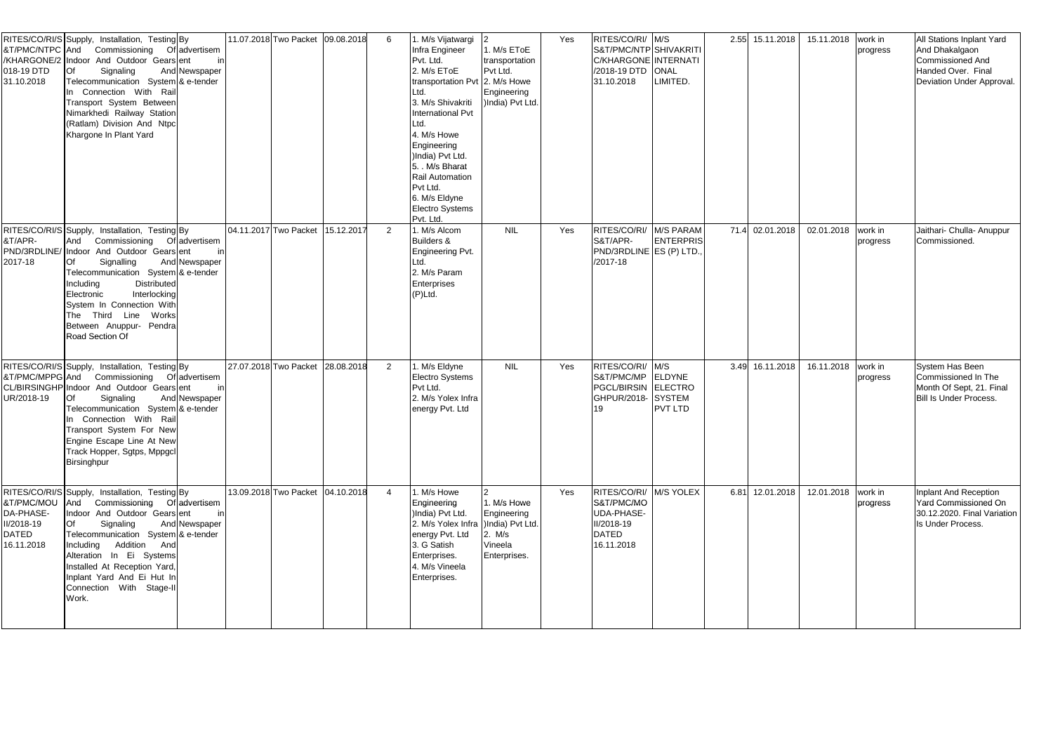| &T/PMC/NTPC And<br>018-19 DTD<br>31.10.2018                  | RITES/CO/RI/S Supply, Installation, Testing By<br>Commissioning<br>Of advertisem<br>/KHARGONE/2 Indoor And Outdoor Gears ent<br>Signaling<br>And Newspaper<br>Telecommunication System & e-tender<br>In Connection With Rail<br>Transport System Between<br>Nimarkhedi Railway Station<br>(Ratlam) Division And Ntpc<br>Khargone In Plant Yard                                | 11.07.2018 Two Packet 09.08.2018 | 6              | . M/s Vijatwargi<br>Infra Engineer<br>Pvt. Ltd.<br>2. M/s EToE<br>transportation Pvt 2. M/s Howe<br>Ltd.<br>3. M/s Shivakriti<br>International Pvt<br>Ltd.<br>4. M/s Howe<br>Engineering<br>)India) Pvt Ltd.<br>5. M/s Bharat<br>Rail Automation<br>Pvt Ltd.<br>6. M/s Eldyne<br><b>Electro Systems</b><br>Pvt. Ltd. | 1. M/s EToE<br>transportation<br>Pvt Ltd.<br>Engineering<br>)India) Pvt Ltd.        | Yes | RITES/CO/RI/ M/S<br>S&T/PMC/NTP SHIVAKRITI<br>C/KHARGONE INTERNATI<br>/2018-19 DTD ONAL<br>31.10.2018 | LIMITED.                                  | 2.55 15.11.2018 | 15.11.2018 | work in<br>progress | <b>All Stations Inplant Yard</b><br>And Dhakalgaon<br>Commissioned And<br>Handed Over. Final<br>Deviation Under Approval |
|--------------------------------------------------------------|-------------------------------------------------------------------------------------------------------------------------------------------------------------------------------------------------------------------------------------------------------------------------------------------------------------------------------------------------------------------------------|----------------------------------|----------------|----------------------------------------------------------------------------------------------------------------------------------------------------------------------------------------------------------------------------------------------------------------------------------------------------------------------|-------------------------------------------------------------------------------------|-----|-------------------------------------------------------------------------------------------------------|-------------------------------------------|-----------------|------------|---------------------|--------------------------------------------------------------------------------------------------------------------------|
| &T/APR-<br>2017-18                                           | RITES/CO/RI/S Supply, Installation, Testing By<br>Commissioning<br>Of advertisem<br>And<br>PND/3RDLINE/ Indoor And Outdoor Gears ent<br>Signalling<br>And Newspaper<br>Telecommunication System & e-tender<br><b>Distributed</b><br>ncluding<br>Interlocking<br>Electronic<br>System In Connection With<br>The Third Line Works<br>Between Anuppur- Pendra<br>Road Section Of | 04.11.2017 Two Packet 15.12.2017 | 2              | . M/s Alcom<br><b>Builders &amp;</b><br>Engineering Pvt.<br>Ltd.<br>2. M/s Param<br>Enterprises<br>(P)Ltd.                                                                                                                                                                                                           | <b>NIL</b>                                                                          | Yes | RITES/CO/RI/<br>S&T/APR-<br>PND/3RDLINE ES (P) LTD.<br>/2017-18                                       | M/S PARAM<br>ENTERPRIS                    | 71.4 02.01.2018 | 02.01.2018 | work in<br>progress | Jaithari- Chulla- Anuppur<br>Commissioned.                                                                               |
| &T/PMC/MPPG And<br>UR/2018-19                                | RITES/CO/RI/S Supply, Installation, Testing By<br>Commissioning<br>Of advertisem<br>CL/BIRSINGHP Indoor And Outdoor Gears ent<br>Signaling<br>And Newspaper<br>Telecommunication System & e-tender<br>Connection With Rail<br>Transport System For New<br>Engine Escape Line At New<br>Track Hopper, Sgtps, Mppgcl<br>Birsinghpur                                             | 27.07.2018 Two Packet 28.08.2018 | $\overline{2}$ | . M/s Eldyne<br>Electro Systems<br>Pvt Ltd.<br>2. M/s Yolex Infra<br>energy Pvt. Ltd                                                                                                                                                                                                                                 | <b>NIL</b>                                                                          | Yes | RITES/CO/RI/ M/S<br>S&T/PMC/MP<br>PGCL/BIRSIN ELECTRO<br>GHPUR/2018-<br>19                            | ELDYNE<br><b>SYSTEM</b><br><b>PVT LTD</b> | 3.49 16.11.2018 | 16.11.2018 | work in<br>progress | System Has Been<br>Commissioned In The<br>Month Of Sept, 21. Final<br><b>Bill Is Under Process.</b>                      |
| &T/PMC/MOU<br>DA-PHASE-<br>II/2018-19<br>DATED<br>16.11.2018 | RITES/CO/RI/S Supply, Installation, Testing By<br>Commissioning Of advertisem<br>And<br>Indoor And Outdoor Gears ent<br>And Newspaper<br>Signaling<br>Telecommunication System & e-tender<br>Including Addition And<br>Alteration In Ei Systems<br>Installed At Reception Yard,<br>nplant Yard And Ei Hut In<br>Connection With Stage-II<br>Work.                             | 13.09.2018 Two Packet 04.10.2018 | $\overline{4}$ | 1. M/s Howe<br>Engineering<br>)India) Pvt Ltd.<br>2. M/s Yolex Infra<br>energy Pvt. Ltd<br>3. G Satish<br>Enterprises.<br>4. M/s Vineela<br>Enterprises.                                                                                                                                                             | 1. M/s Howe<br>Engineering<br>)India) Pvt Ltd.<br>2. M/s<br>Vineela<br>Enterprises. | Yes | RITES/CO/RI/ M/S YOLEX<br>S&T/PMC/MO<br><b>UDA-PHASE-</b><br>II/2018-19<br><b>DATED</b><br>16.11.2018 |                                           | 6.81 12.01.2018 | 12.01.2018 | work in<br>progress | Inplant And Reception<br>Yard Commissioned On<br>30.12.2020. Final Variation<br>Is Under Process.                        |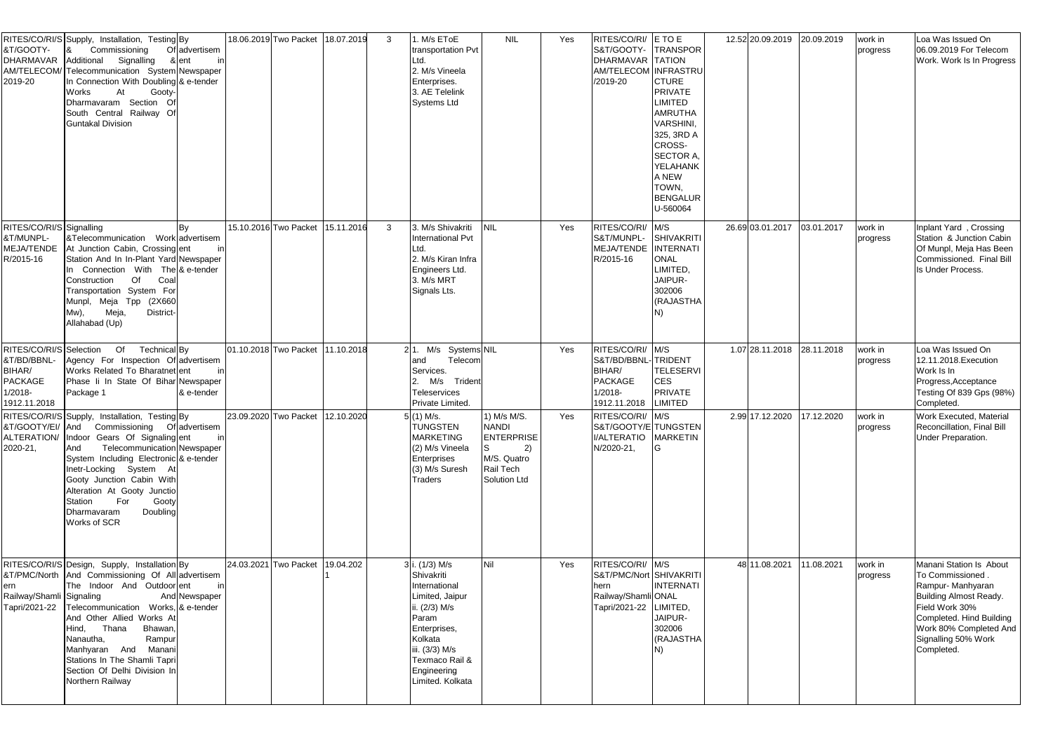| &T/GOOTY-<br><b>DHARMAVAR</b><br>2019-20                                                      | RITES/CO/RI/S Supply, Installation, Testing By<br>Of advertisem<br>Commissioning<br>l&<br>Additional<br>Signalling<br>& ent<br>AM/TELECOM/ Telecommunication System Newspaper<br>In Connection With Doubling & e-tender<br>Works<br>At<br>Gooty-<br>Dharmavaram Section Of<br>South Central Railway Of<br><b>Guntakal Division</b>                                                    | inl        | 18.06.2019 Two Packet | 18.07.2019 | $\mathbf{3}$ | . M/s EToE<br>transportation Pvt<br>_td.<br>2. M/s Vineela<br>Enterprises.<br>3. AE Telelink<br><b>Systems Ltd</b>                                                                         | <b>NIL</b>                                                                                         | Yes | RITES/CO/RI/ E TO E<br>S&T/GOOTY- TRANSPOR<br>DHARMAVAR TATION<br>AM/TELECOM INFRASTRU<br>/2019-20   | <b>CTURE</b><br><b>PRIVATE</b><br><b>LIMITED</b><br><b>AMRUTHA</b><br>VARSHINI,<br>325, 3RD A<br><b>CROSS-</b><br><b>SECTOR A</b><br>YELAHANK<br>A NEW<br>TOWN,<br><b>BENGALUR</b><br>U-560064 | 12.52 20.09.2019 | 20.09.2019 | work in<br>progress | Loa Was Issued On<br>06.09.2019 For Telecom<br>Work. Work Is In Progress                                                                                                                                      |
|-----------------------------------------------------------------------------------------------|---------------------------------------------------------------------------------------------------------------------------------------------------------------------------------------------------------------------------------------------------------------------------------------------------------------------------------------------------------------------------------------|------------|-----------------------|------------|--------------|--------------------------------------------------------------------------------------------------------------------------------------------------------------------------------------------|----------------------------------------------------------------------------------------------------|-----|------------------------------------------------------------------------------------------------------|------------------------------------------------------------------------------------------------------------------------------------------------------------------------------------------------|------------------|------------|---------------------|---------------------------------------------------------------------------------------------------------------------------------------------------------------------------------------------------------------|
| RITES/CO/RI/S Signalling<br>&T/MUNPL-<br><b>MEJA/TENDE</b><br>R/2015-16                       | &Telecommunication Work advertisem<br>At Junction Cabin, Crossing ent<br>Station And In In-Plant Yard Newspaper<br>In Connection With The & e-tender<br>Of<br>Construction<br>Coal<br>Transportation System For<br>Munpl, Meja Tpp (2X660<br>Meja,<br>District-<br>Mw),<br>Allahabad (Up)                                                                                             |            | 15.10.2016 Two Packet | 15.11.2016 | $\mathbf{3}$ | 3. M/s Shivakriti<br>International Pvt<br>Ltd.<br>2. M/s Kiran Infra<br>Engineers Ltd.<br>3. M/s MRT<br>Signals Lts.                                                                       |                                                                                                    | Yes | RITES/CO/RI/ M/S<br>S&T/MUNPL-<br>MEJA/TENDE INTERNATI<br>R/2015-16                                  | SHIVAKRITI<br><b>ONAL</b><br>LIMITED,<br>JAIPUR-<br>302006<br>(RAJASTHA                                                                                                                        | 26.69 03.01.2017 | 03.01.2017 | work in<br>progress | Inplant Yard, Crossing<br>Station & Junction Cabin<br>Of Munpl, Meja Has Been<br>Commissioned. Final Bill<br>Is Under Process.                                                                                |
| RITES/CO/RI/S Selection<br>&T/BD/BBNL-<br>BIHAR/<br><b>PACKAGE</b><br>1/2018-<br>1912.11.2018 | Of<br>Technical By<br>Agency For Inspection Of advertisem<br>Works Related To Bharatnet ent<br>Phase li In State Of Bihar Newspaper<br>Package 1                                                                                                                                                                                                                                      | & e-tender | 01.10.2018 Two Packet | 11.10.2018 |              | 21. M/s Systems NIL<br>Telecom<br>and<br>Services.<br>M/s Trident<br>2.<br>Teleservices<br>Private Limited.                                                                                |                                                                                                    | Yes | RITES/CO/RI/ M/S<br>S&T/BD/BBNL-TRIDENT<br>BIHAR/<br><b>PACKAGE</b><br>$1/2018 -$<br>1912.11.2018    | <b>TELESERVI</b><br><b>CES</b><br><b>PRIVATE</b><br>LIMITED                                                                                                                                    | 1.07 28.11.2018  | 28.11.2018 | work in<br>progress | Loa Was Issued On<br>12.11.2018. Execution<br>Work Is In<br>Progress, Acceptance<br>Testing Of 839 Gps (98%)<br>Completed.                                                                                    |
| 2020-21,                                                                                      | RITES/CO/RI/S Supply, Installation, Testing By<br>&T/GOOTY/EI/ And Commissioning Of advertisem<br>ALTERATION/ Indoor Gears Of Signaling ent<br>Telecommunication Newspaper<br>And<br>System Including Electronic & e-tender<br>Inetr-Locking System At<br>Gooty Junction Cabin With<br>Alteration At Gooty Junctio<br>Station For<br>Gooty<br>Doubling<br>Dharmavaram<br>Works of SCR | inl        | 23.09.2020 Two Packet | 12.10.2020 |              | $(1)$ M/s.<br><b>TUNGSTEN</b><br><b>MARKETING</b><br>(2) M/s Vineela<br>Enterprises<br>(3) M/s Suresh<br><b>Traders</b>                                                                    | 1) M/s M/S.<br><b>NANDI</b><br><b>ENTERPRISE</b><br>2)<br>M/S. Quatro<br>Rail Tech<br>Solution Ltd | Yes | RITES/CO/RI/ M/S<br>S&T/GOOTY/E TUNGSTEN<br>I/ALTERATIO MARKETIN<br>N/2020-21,                       | IG                                                                                                                                                                                             | 2.99 17.12.2020  | 17.12.2020 | work in<br>progress | Work Executed, Material<br>Reconcillation, Final Bill<br>Under Preparation.                                                                                                                                   |
| ern<br>Railway/Shamli Signaling<br>Tapri/2021-22                                              | RITES/CO/RI/S Design, Supply, Installation By<br>&T/PMC/North And Commissioning Of All advertisem<br>The Indoor And Outdoor ent<br>And Newspaper<br>Telecommunication Works, & e-tender<br>And Other Allied Works At<br>Hind, Thana<br>Bhawan,<br>Rampur<br>Nanautha,<br>Manhyaran And Manani<br>Stations In The Shamli Tapri<br>Section Of Delhi Division In<br>Northern Railway     | in         | 24.03.2021 Two Packet | 19.04.202  |              | i. (1/3) M/s<br>Shivakriti<br>International<br>Limited, Jaipur<br>ii. (2/3) M/s<br>Param<br>Enterprises,<br>Kolkata<br>iii. (3/3) M/s<br>Texmaco Rail &<br>Engineering<br>Limited. Kolkata | Nil                                                                                                | Yes | RITES/CO/RI/ M/S<br>S&T/PMC/Nort SHIVAKRITI<br>hern<br>Railway/Shamli ONAL<br>Tapri/2021-22 LIMITED, | <b>INTERNATI</b><br>JAIPUR-<br>302006<br>(RAJASTHA                                                                                                                                             | 48 11.08.2021    | 11.08.2021 | work in<br>progress | Manani Station Is About<br>To Commissioned.<br>Rampur-Manhyaran<br><b>Building Almost Ready.</b><br>Field Work 30%<br>Completed. Hind Building<br>Work 80% Completed And<br>Signalling 50% Work<br>Completed. |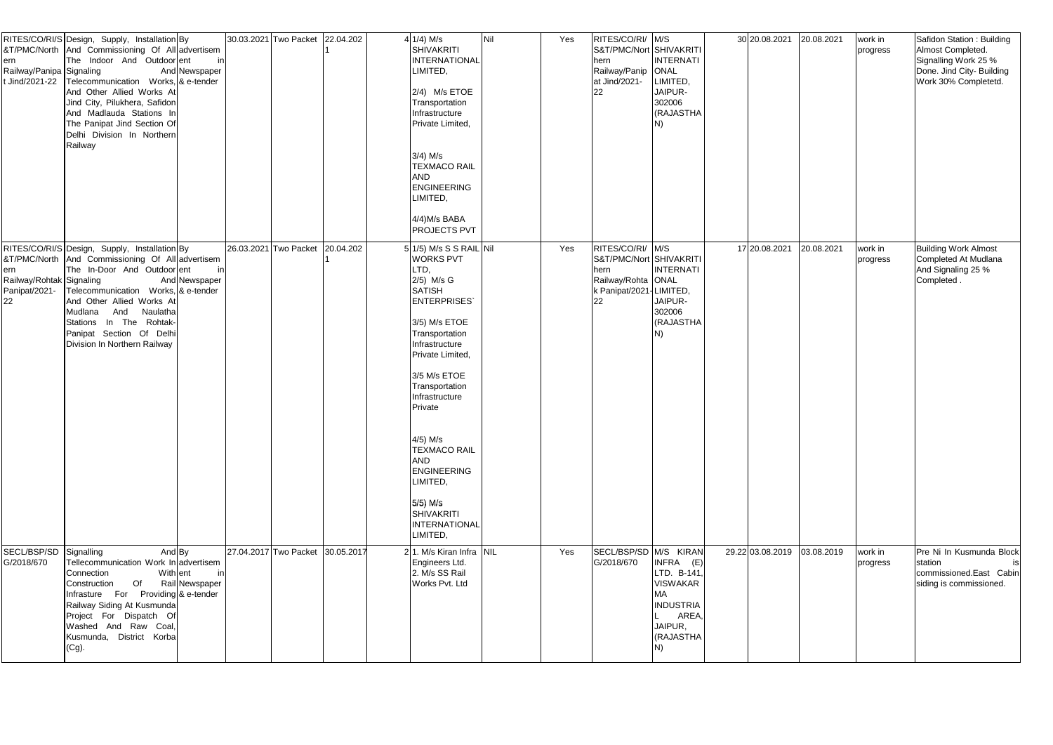| ern<br>Railway/Panipa Signaling<br>Jind/2021-22        | RITES/CO/RI/S Design, Supply, Installation By<br>&T/PMC/North And Commissioning Of All advertisem<br>The Indoor And Outdoorent<br>And Newspaper<br>Telecommunication Works, & e-tender<br>And Other Allied Works At<br>Jind City, Pilukhera, Safidon<br>And Madlauda Stations In<br>The Panipat Jind Section Of<br>Delhi Division In Northern<br>Railway | in  | 30.03.2021 Two Packet 22.04.202  | 4 1/4) M/s<br><b>SHIVAKRITI</b><br>INTERNATIONAL<br>LIMITED,<br>2/4) M/s ETOE<br>Transportation<br>Infrastructure<br>Private Limited,<br>$3/4$ ) M/s<br><b>TEXMACO RAIL</b><br><b>AND</b><br><b>ENGINEERING</b><br>LIMITED,<br>4/4) M/s BABA<br><b>PROJECTS PVT</b>                                                                                                                    | Nil | Yes | RITES/CO/RI/ M/S<br>S&T/PMC/Nort SHIVAKRITI<br>hern<br>Railway/Panip<br>at Jind/2021-<br>22                | <b>INTERNATI</b><br>ONAL<br>LIMITED,<br>JAIPUR-<br>302006<br>(RAJASTHA                          | 30 20.08.2021    | 20.08.2021 | work in<br>progress | Safidon Station: Building<br>Almost Completed.<br>Signalling Work 25 %<br>Done. Jind City- Building<br>Work 30% Completetd. |
|--------------------------------------------------------|----------------------------------------------------------------------------------------------------------------------------------------------------------------------------------------------------------------------------------------------------------------------------------------------------------------------------------------------------------|-----|----------------------------------|----------------------------------------------------------------------------------------------------------------------------------------------------------------------------------------------------------------------------------------------------------------------------------------------------------------------------------------------------------------------------------------|-----|-----|------------------------------------------------------------------------------------------------------------|-------------------------------------------------------------------------------------------------|------------------|------------|---------------------|-----------------------------------------------------------------------------------------------------------------------------|
| ern<br>Railway/Rohtak Signaling<br>Panipat/2021-<br>22 | RITES/CO/RI/S Design, Supply, Installation By<br>&T/PMC/North And Commissioning Of All advertisem<br>The In-Door And Outdoorent<br>And Newspaper<br>Telecommunication Works, & e-tender<br>And Other Allied Works At<br>Mudlana And Naulatha<br>Stations In The Rohtak-<br>Panipat Section Of Delhi<br>Division In Northern Railway                      | inl | 26.03.2021 Two Packet 20.04.202  | 5 1/5) M/s S S RAIL Nil<br><b>WORKS PVT</b><br>LTD,<br>2/5) M/s G<br><b>SATISH</b><br><b>ENTERPRISES</b><br>3/5) M/s ETOE<br>Transportation<br>Infrastructure<br>Private Limited,<br>3/5 M/s ETOE<br>Transportation<br>Infrastructure<br>Private<br>4/5) M/s<br><b>TEXMACO RAIL</b><br>AND<br><b>ENGINEERING</b><br>LIMITED,<br>$5/5$ ) M/s<br>SHIVAKRITI<br>INTERNATIONAL<br>LIMITED, |     | Yes | RITES/CO/RI/ M/S<br>S&T/PMC/Nort SHIVAKRITI<br>hern<br>Railway/Rohta ONAL<br>k Panipat/2021-LIMITED,<br>22 | <b>INTERNATI</b><br>JAIPUR-<br>302006<br>(RAJASTHA                                              | 17 20.08.2021    | 20.08.2021 | work in<br>progress | <b>Building Work Almost</b><br>Completed At Mudlana<br>And Signaling 25 %<br>Completed.                                     |
| SECL/BSP/SD<br>G/2018/670                              | And By<br>Signalling<br>Tellecommunication Work In advertisem<br>With ent<br>Connection<br>Of<br>Rail Newspaper<br>Construction<br>Infrasture For Providing & e-tender<br>Railway Siding At Kusmunda<br>Project For Dispatch Of<br>Washed And Raw Coal,<br>Kusmunda, District Korba<br>(Cg).                                                             | inl | 27.04.2017 Two Packet 30.05.2017 | 21. M/s Kiran Infra NIL<br>Engineers Ltd.<br>2. M/s SS Rail<br>Works Pvt. Ltd                                                                                                                                                                                                                                                                                                          |     | Yes | SECL/BSP/SD M/S KIRAN<br>G/2018/670                                                                        | INFRA (E)<br>LTD. B-141,<br>VISWAKAR<br>МA<br><b>INDUSTRIA</b><br>AREA,<br>JAIPUR,<br>(RAJASTHA | 29.22 03.08.2019 | 03.08.2019 | work in<br>progress | Pre Ni In Kusmunda Block<br>station<br>commissioned.East Cabin<br>siding is commissioned.                                   |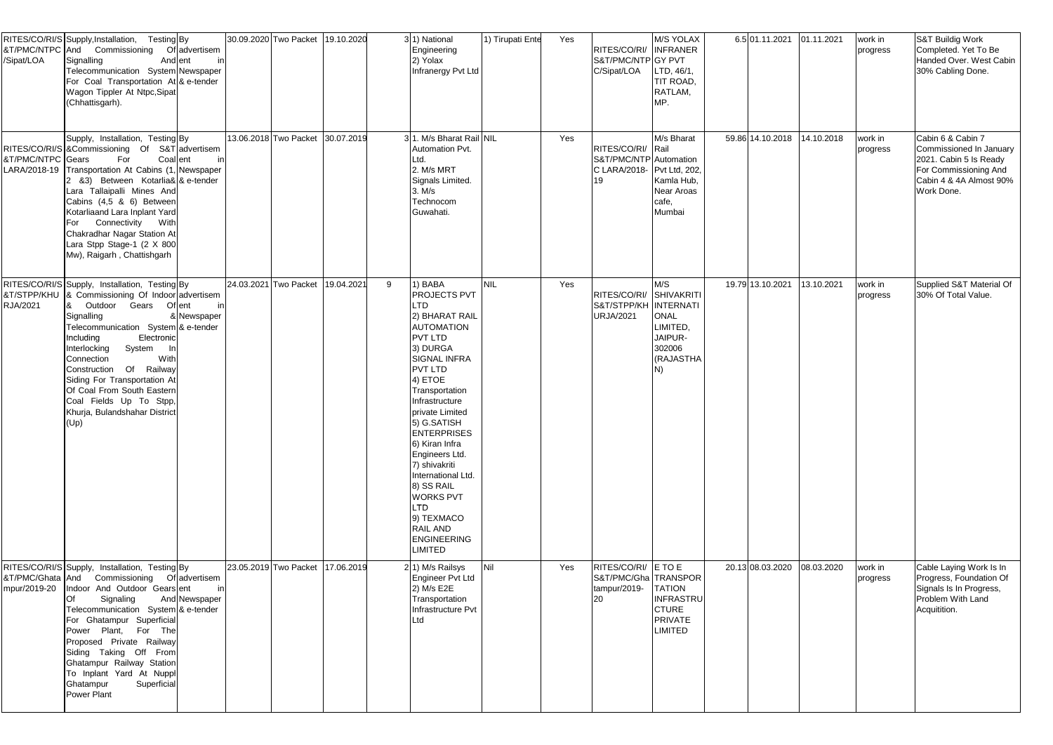| /Sipat/LOA                        | RITES/CO/RI/S Supply, Installation,<br>Testing By<br>&T/PMC/NTPC And Commissioning<br>Signalling<br>And ent<br>Telecommunication System Newspaper<br>For Coal Transportation At & e-tender<br>Wagon Tippler At Ntpc, Sipat<br>(Chhattisgarh).                                                                                                                                                              | Of advertisem<br>in                  | 30.09.2020 Two Packet 19.10.2020 |            |   | 3 <sup>1</sup> ) National<br>Engineering<br>2) Yolax<br>Infranergy Pvt Ltd                                                                                                                                                                                                                                                                                                                                                                              | 1) Tirupati Ente | Yes | RITES/CO/RI/ INFRANER<br>S&T/PMC/NTP GY PVT<br>C/Sipat/LOA                       | M/S YOLAX<br>LTD, 46/1,<br>TIT ROAD,<br>RATLAM,<br>MP.                                | 6.5 01.11.2021              | 01.11.2021 | work in<br>progress | S&T Buildig Work<br>Completed. Yet To Be<br>Handed Over. West Cabin<br>30% Cabling Done.                                                 |
|-----------------------------------|------------------------------------------------------------------------------------------------------------------------------------------------------------------------------------------------------------------------------------------------------------------------------------------------------------------------------------------------------------------------------------------------------------|--------------------------------------|----------------------------------|------------|---|---------------------------------------------------------------------------------------------------------------------------------------------------------------------------------------------------------------------------------------------------------------------------------------------------------------------------------------------------------------------------------------------------------------------------------------------------------|------------------|-----|----------------------------------------------------------------------------------|---------------------------------------------------------------------------------------|-----------------------------|------------|---------------------|------------------------------------------------------------------------------------------------------------------------------------------|
| &T/PMC/NTPC Gears<br>LARA/2018-19 | Supply, Installation, Testing By<br>RITES/CO/RI/S & Commissioning Of<br>Coal ent<br>For<br>Transportation At Cabins (1, Newspaper<br>2 &3) Between Kotarlia& & e-tender<br>Lara Tallaipalli Mines And<br>Cabins (4,5 & 6) Between<br>Kotarliaand Lara Inplant Yard<br>Connectivity<br>With<br>For<br>Chakradhar Nagar Station At<br>Lara Stpp Stage-1 (2 X 800<br>Mw), Raigarh, Chattishgarh               | S&T advertisem<br>in                 | 13.06.2018 Two Packet 30.07.2019 |            |   | 31. M/s Bharat Rail NIL<br>Automation Pvt.<br>Ltd.<br>2. M/s MRT<br>Signals Limited.<br>3. M/s<br>Technocom<br>Guwahati.                                                                                                                                                                                                                                                                                                                                |                  | Yes | RITES/CO/RI/ Rail<br>S&T/PMC/NTP Automation<br>C LARA/2018- Pvt Ltd, 202,<br>19. | M/s Bharat<br>Kamla Hub,<br>Near Aroas<br>cafe,<br>Mumbai                             | 59.86 14.10.2018 14.10.2018 |            | work in<br>progress | Cabin 6 & Cabin 7<br>Commissioned In January<br>2021. Cabin 5 Is Ready<br>For Commissioning And<br>Cabin 4 & 4A Almost 90%<br>Work Done. |
| &T/STPP/KHU<br>RJA/2021           | RITES/CO/RI/S Supply, Installation, Testing By<br>& Commissioning Of Indoor advertisem<br>Outdoor Gears Ofent<br>Signalling<br>Telecommunication System & e-tender<br>Electronic<br>Including<br>Interlocking<br>System<br>With<br>Connection<br>Construction Of Railway<br>Siding For Transportation At<br>Of Coal From South Eastern<br>Coal Fields Up To Stpp,<br>Khurja, Bulandshahar District<br>(Up) | in<br>& Newspaper                    | 24.03.2021 Two Packet            | 19.04.2021 | 9 | 1) BABA<br><b>PROJECTS PVT</b><br>LTD<br>2) BHARAT RAIL<br><b>AUTOMATION</b><br><b>PVT LTD</b><br>3) DURGA<br><b>SIGNAL INFRA</b><br><b>PVT LTD</b><br>4) ETOE<br>Transportation<br>Infrastructure<br>private Limited<br>5) G.SATISH<br><b>ENTERPRISES</b><br>6) Kiran Infra<br>Engineers Ltd.<br>7) shivakriti<br>International Ltd.<br>8) SS RAIL<br><b>WORKS PVT</b><br><b>LTD</b><br>9) TEXMACO<br>RAIL AND<br><b>ENGINEERING</b><br><b>LIMITED</b> | <b>NIL</b>       | Yes | RITES/CO/RI/ SHIVAKRITI<br>S&T/STPP/KH INTERNATI<br><b>URJA/2021</b>             | M/S<br><b>ONAL</b><br>LIMITED,<br>JAIPUR-<br>302006<br>(RAJASTHA<br>N)                | 19.79 13.10.2021            | 13.10.2021 | work in<br>progress | Supplied S&T Material Of<br>30% Of Total Value.                                                                                          |
| &T/PMC/Ghata And<br>mpur/2019-20  | RITES/CO/RI/S Supply, Installation, Testing By<br>Commissioning<br>Indoor And Outdoor Gears ent<br>Signaling<br>Telecommunication System & e-tender<br>For Ghatampur Superficial<br>Power Plant, For The<br>Proposed Private Railway<br>Siding Taking Off<br>From<br>Ghatampur Railway Station<br>To Inplant Yard At Nuppl<br>Ghatampur<br>Superficial<br>Power Plant                                      | Of advertisem<br>in<br>And Newspaper | 23.05.2019 Two Packet 17.06.2019 |            |   | 2 <sup>(1)</sup> M/s Railsys<br>Engineer Pvt Ltd<br>2) M/s E2E<br>Transportation<br>Infrastructure Pvt<br>Ltd                                                                                                                                                                                                                                                                                                                                           | Nil              | Yes | RITES/CO/RI/ E TO E<br>S&T/PMC/Gha TRANSPOR<br>tampur/2019-<br>120               | <b>TATION</b><br><b>INFRASTRU</b><br><b>CTURE</b><br><b>PRIVATE</b><br><b>LIMITED</b> | 20.13 08.03.2020            | 08.03.2020 | work in<br>progress | Cable Laying Work Is In<br>Progress, Foundation Of<br>Signals Is In Progress,<br>Problem With Land<br>Acquitition.                       |